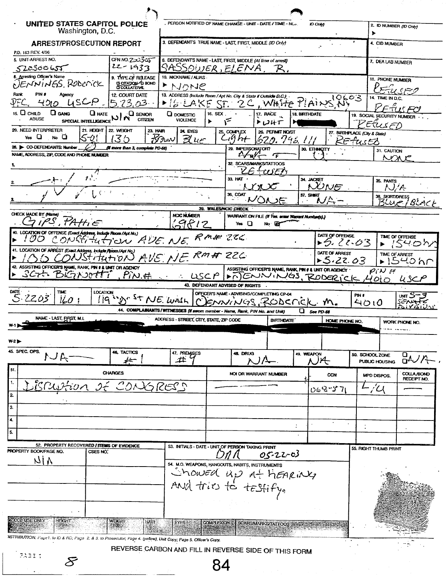| UNITED STATES CAPITOL POLICE<br>Washington, D.C.                                                                 |                                                      |                                                                | PERSON NOTIFIED OF NAME CHANGE - UNIT - DATE / TIME - NC.                                        |                                                                                                | ID Only              |                               | 2. ID NUMBER (ID Only)<br>▶              |                        |
|------------------------------------------------------------------------------------------------------------------|------------------------------------------------------|----------------------------------------------------------------|--------------------------------------------------------------------------------------------------|------------------------------------------------------------------------------------------------|----------------------|-------------------------------|------------------------------------------|------------------------|
| <b>ARREST/PROSECUTION REPORT</b>                                                                                 |                                                      |                                                                | 3. DEFENDANT'S TRUE NAME - LAST, FIRST, MIDDLE (ID Only)                                         |                                                                                                |                      |                               | 4. CID NUMBER                            |                        |
| P.D. 163 REV. 4/96                                                                                               |                                                      |                                                                |                                                                                                  |                                                                                                |                      |                               |                                          |                        |
| 5. UNIT-ARREST NO.<br>522300655                                                                                  | CFN NO.2ులు3్రోయ్<br>22-1933                         |                                                                | 6. DEFENDANT'S NAME - LAST, FIRST, MIDDLE (At time of arrest)<br>SASSOWER,ELENA, R.              |                                                                                                |                      |                               | 7. DEA LAB NUMBER                        |                        |
| 8. Arresting Officer's Name                                                                                      | 9. TYPE OF RELEASE                                   | 10. NICKNAME / ALIAS.                                          |                                                                                                  |                                                                                                |                      |                               | 11. PHONE NUMBER                         |                        |
| DENNINGS Roberick                                                                                                | <b>CICTATION</b> OF BOND                             | SHULI 1                                                        |                                                                                                  |                                                                                                |                      |                               |                                          |                        |
| Rank<br>PIN #<br>Agency                                                                                          | 12. COURT DATE                                       |                                                                | 13. ADDRESS (Include Room / Apt No. City & State if Outside D.C.).                               |                                                                                                |                      |                               |                                          | ورجوى                  |
| ASCP<br>מולד                                                                                                     | 5.73.03                                              | $\blacktriangleright$ [SIEAKE]                                 | $ST^+$                                                                                           | 2C, WHITE PLAINS NY                                                                            |                      | 10603                         | <b>14. TIME IN D.C.</b>                  |                        |
| 15. O<br>$\Box$ GANG<br>CHILD<br>$Q$ hate<br><b>ABUSE</b><br>SPECIAL INTELLIGENCE NIN                            | $\Box$ SENIOR<br><b>CITIZEN</b>                      | <b>Q</b> DOMESTIC<br><b>VIOLENCE</b>                           | 16. SEX.<br>$\mathbf{r}$                                                                         | 17. RACE<br>トロリナ                                                                               | <b>18. BIRTHDATE</b> |                               | 19. SOCIAL SECURITY NUMBER               | $\pi$ is For           |
| 20. NEED INTERPRETER<br>21. HEIGHT                                                                               | 22. WEIGHT<br><b>23. HAIR</b>                        | 24 EYES                                                        | 25. COMPLEX                                                                                      | 26. PERMIT NO/ST                                                                               |                      | 27. BIRTHPLACE (City & State) | Etusen                                   |                        |
| Yes $\Box$<br>мо О<br>ליי}                                                                                       | ≺                                                    | $\overline{\mathcal{K}}$ tro $\mathcal{N}$<br>$\mathcal{B}$ ur | C <sub>1</sub>                                                                                   | 620.746.111                                                                                    |                      |                               | tusts                                    |                        |
| 28. CO-DEFENDANTS: Number<br>NAME, ADDRESS, ZIP, CODE AND PHONE NUMBER                                           | (if more than 3, complete PD-68)                     |                                                                | 29. IMPERSONATOR?                                                                                |                                                                                                | 30. ETHNACITY        |                               | 31. CAUTION                              |                        |
|                                                                                                                  |                                                      |                                                                |                                                                                                  | $2\frac{f}{\sqrt{2}}$<br>ஂ                                                                     |                      |                               |                                          | へへん                    |
|                                                                                                                  |                                                      |                                                                | F                                                                                                | 32. SCARS/MARKS/TATTOOS<br>$f$ $\omega$ $E$                                                    |                      |                               |                                          |                        |
|                                                                                                                  |                                                      |                                                                | 33. HAT                                                                                          |                                                                                                | 34. JACKET           | $\chi$ ) n $\mu$ =            | 35. PANTS<br>N/A                         |                        |
|                                                                                                                  |                                                      |                                                                | 36. COAT                                                                                         |                                                                                                | 37. SHIRT            |                               | 38. SKIRT/DRESS                          |                        |
|                                                                                                                  |                                                      |                                                                | 39. WALES/NCIC CHECK                                                                             |                                                                                                |                      |                               | <u> جربنR</u>                            |                        |
| CHECK MADE BY (Name)                                                                                             |                                                      | <b>NCIC NUMBER</b>                                             |                                                                                                  | WARRANT ON FILE (If Yes. enter Warrant Number(s).)                                             |                      |                               |                                          |                        |
|                                                                                                                  |                                                      | $\zeta$ 9612                                                   | Yes $\Box$                                                                                       | No <b>Ex</b>                                                                                   |                      |                               |                                          |                        |
| 40. LOCATION OF OFFENSE (Exact Address, include Room /Apt No.)<br>CONSTITUTION AVE NE RM# 226<br>1 00.           |                                                      |                                                                |                                                                                                  |                                                                                                |                      | DATE OF OFFENSE<br>▶5:22.03   |                                          | TIME OF OFFENSE<br>パロつ |
| 41. LOCATION OF ARREST (Exact Address, include Room / Apt No.)                                                   |                                                      |                                                                |                                                                                                  |                                                                                                |                      | DATE OF ARREST                |                                          | TIME OF ARREST         |
| CONStitution AVE NE RMA 226<br>42. ASSISTING OFFICER'S NAME, RANK, PIN # & UNIT OR AGENCY                        |                                                      |                                                                |                                                                                                  |                                                                                                |                      | 5.22.03                       |                                          | 1540hr                 |
| SCH. BIGNOOTTI                                                                                                   | $. P\mathcal{N} \neq$                                | $\therefore$ LISCP                                             |                                                                                                  | ASSISTING OFFICER'S NAME, RANK, PIN # 4 UNIT OR AGENCY<br><b>&gt; MENNINGS, RODERICK, 4010</b> |                      |                               | $\rho_i$ N H                             | uscr                   |
|                                                                                                                  |                                                      |                                                                | 43. DEFENDANT ADVISED OF RIGHTS .                                                                |                                                                                                |                      |                               |                                          |                        |
| DATE -<br>TIME<br><b>LOCATION</b><br>2203<br>iio                                                                 | 19 ms ST NE. WASH                                    |                                                                | OFFICER'S NAME - ADVISING/COMPLETING CP-04                                                       |                                                                                                |                      | PIN #                         |                                          | unn Sーヨ                |
|                                                                                                                  |                                                      |                                                                | MUNGS RODEFIEK M.<br>44. COMPLAINANTS/WITNESSES (If sworn member - Name, Rank, PIN No. and Unit) |                                                                                                | $Q$ see PD-68        |                               | 4010                                     | SENATE                 |
| NAME - LAST, FIRST, M.L                                                                                          |                                                      | ADDRESS - STREET, CITY, STATE, ZIP CODE                        |                                                                                                  | <b>BIRTHDATE</b>                                                                               |                      | HOME PHONE NO.                |                                          | WORK PHONE NO.         |
|                                                                                                                  |                                                      |                                                                |                                                                                                  |                                                                                                |                      |                               |                                          |                        |
| W2                                                                                                               |                                                      |                                                                |                                                                                                  |                                                                                                |                      |                               |                                          |                        |
| 45. SPEC, OPS.<br>トービ                                                                                            | 46. TACTICS<br>≠∸                                    | 47. PREMISES<br>土                                              | 48. DRUG                                                                                         | /                                                                                              | 49. WEAPON<br>N)A    |                               | 50. SCHOOL ZONE<br><b>PUBLIC HOUSING</b> | ロインパ                   |
| 51.                                                                                                              | <b>CHARGES</b>                                       |                                                                |                                                                                                  | NOI OR WARRANT NUMBER                                                                          |                      | CCN                           | MPD DISPOS.                              | <b>COLLA /BOND</b>     |
| BRUSHON DE CONGRESS<br>1.                                                                                        |                                                      |                                                                |                                                                                                  |                                                                                                |                      |                               |                                          | RECEIPT NO.            |
| 2                                                                                                                |                                                      |                                                                |                                                                                                  |                                                                                                |                      | 068-57                        | $L/\mathcal{U}$                          |                        |
| 3.                                                                                                               |                                                      |                                                                |                                                                                                  |                                                                                                |                      |                               |                                          |                        |
| $\overline{\bullet}$                                                                                             |                                                      |                                                                |                                                                                                  |                                                                                                |                      |                               |                                          |                        |
| $\overline{\mathbf{5}}$                                                                                          |                                                      |                                                                |                                                                                                  |                                                                                                | ÷                    |                               |                                          |                        |
|                                                                                                                  |                                                      |                                                                |                                                                                                  |                                                                                                |                      |                               |                                          |                        |
| 52. PROPERTY RECOVERED / ITEMS OF EVIDENCE<br>PROPERTY BOOK/PAGE NO.<br>CSES NO.                                 |                                                      |                                                                | 53. INITIALS - DATE - UNIT OF PERSON TAKING PRINT                                                |                                                                                                |                      |                               | 55. RIGHT THUMB PRINT                    |                        |
| NIA                                                                                                              |                                                      |                                                                |                                                                                                  | 05-22-03                                                                                       |                      |                               |                                          |                        |
|                                                                                                                  |                                                      |                                                                | 54. M.O. WEAPONS, HANGOUTS, HABITS, INSTRUMENTS                                                  |                                                                                                |                      |                               |                                          |                        |
|                                                                                                                  |                                                      |                                                                | Showed up at hearing                                                                             |                                                                                                |                      |                               |                                          |                        |
|                                                                                                                  |                                                      |                                                                |                                                                                                  |                                                                                                |                      |                               |                                          |                        |
|                                                                                                                  |                                                      |                                                                |                                                                                                  |                                                                                                |                      |                               |                                          |                        |
|                                                                                                                  |                                                      |                                                                |                                                                                                  |                                                                                                |                      |                               |                                          |                        |
| <b>S</b> CCB USE ONLY<br>HEIGHT                                                                                  | WEIGHT<br>HAIR-                                      | EYES <sup>3</sup>                                              | <b>COMPLEXION:</b>                                                                               | <b>SCARSMARKS/TATTOOS</b> 35-2                                                                 |                      |                               |                                          |                        |
|                                                                                                                  |                                                      |                                                                |                                                                                                  |                                                                                                |                      |                               |                                          |                        |
| WSTRIBUTION: Page1. to ID & RD; Page 2. & 3. to Prosecutor, Page 4. (yellow), Unit Copy; Page 5. Officer's Copy. |                                                      |                                                                |                                                                                                  |                                                                                                |                      |                               |                                          |                        |
| PABI I                                                                                                           | REVERSE CARBON AND FILL IN REVERSE SIDE OF THIS FORM |                                                                |                                                                                                  |                                                                                                |                      |                               |                                          |                        |
| $\mathcal{\mathcal{S}}%$                                                                                         |                                                      |                                                                | $\mathbf{A}$                                                                                     |                                                                                                |                      |                               |                                          |                        |